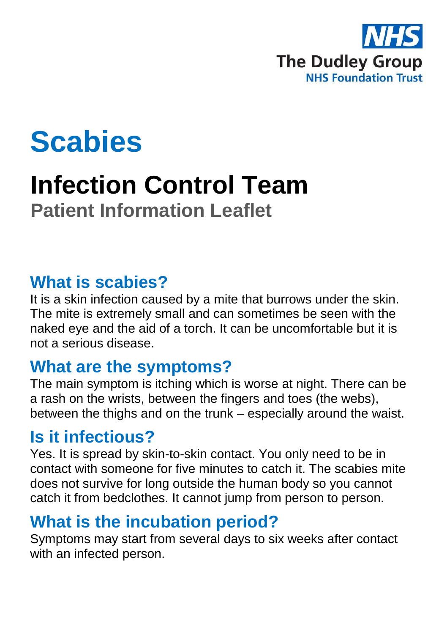

# **Scabies**

## **Infection Control Team Patient Information Leaflet**

#### **What is scabies?**

It is a skin infection caused by a mite that burrows under the skin. The mite is extremely small and can sometimes be seen with the naked eye and the aid of a torch. It can be uncomfortable but it is not a serious disease.

#### **What are the symptoms?**

The main symptom is itching which is worse at night. There can be a rash on the wrists, between the fingers and toes (the webs), between the thighs and on the trunk – especially around the waist.

#### **Is it infectious?**

Yes. It is spread by skin-to-skin contact. You only need to be in contact with someone for five minutes to catch it. The scabies mite does not survive for long outside the human body so you cannot catch it from bedclothes. It cannot jump from person to person.

## **What is the incubation period?**

Symptoms may start from several days to six weeks after contact with an infected person.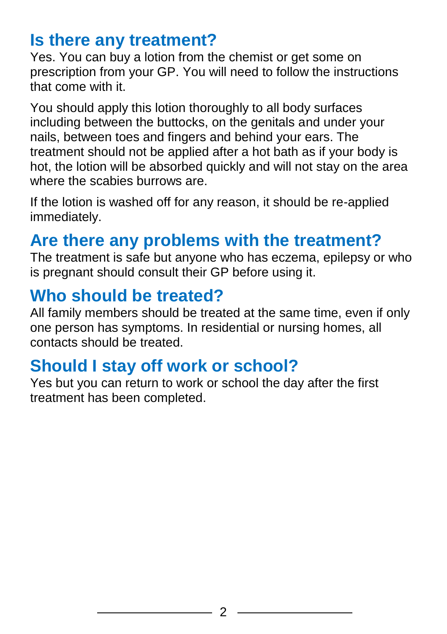### **Is there any treatment?**

Yes. You can buy a lotion from the chemist or get some on prescription from your GP. You will need to follow the instructions that come with it.

You should apply this lotion thoroughly to all body surfaces including between the buttocks, on the genitals and under your nails, between toes and fingers and behind your ears. The treatment should not be applied after a hot bath as if your body is hot, the lotion will be absorbed quickly and will not stay on the area where the scabies burrows are.

If the lotion is washed off for any reason, it should be re-applied immediately.

#### **Are there any problems with the treatment?**

The treatment is safe but anyone who has eczema, epilepsy or who is pregnant should consult their GP before using it.

#### **Who should be treated?**

All family members should be treated at the same time, even if only one person has symptoms. In residential or nursing homes, all contacts should be treated.

#### **Should I stay off work or school?**

Yes but you can return to work or school the day after the first treatment has been completed.